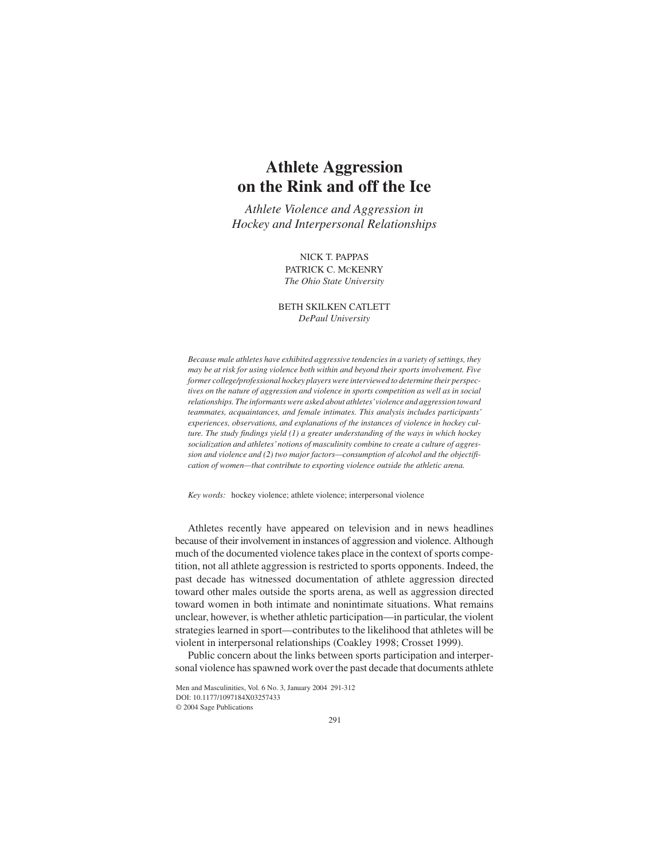# **Athlete Aggression on the Rink and off the Ice**

*Athlete Violence and Aggression in Hockey and Interpersonal Relationships*

> NICK T. PAPPAS PATRICK C. MCKENRY *The Ohio State University*

#### BETH SKILKEN CATLETT *DePaul University*

*Because male athletes have exhibited aggressive tendencies in a variety of settings, they may be at risk for using violence both within and beyond their sports involvement. Five former college/professional hockey players were interviewed to determine their perspectives on the nature of aggression and violence in sports competition as well as in social relationships. The informants were asked about athletes'violence and aggression toward teammates, acquaintances, and female intimates. This analysis includes participants' experiences, observations, and explanations of the instances of violence in hockey culture. The study findings yield (1) a greater understanding of the ways in which hockey socialization and athletes'notions of masculinity combine to create a culture of aggression and violence and (2) two major factors—consumption of alcohol and the objectification of women—that contribute to exporting violence outside the athletic arena.*

*Key words:* hockey violence; athlete violence; interpersonal violence

Athletes recently have appeared on television and in news headlines because of their involvement in instances of aggression and violence. Although much of the documented violence takes place in the context of sports competition, not all athlete aggression is restricted to sports opponents. Indeed, the past decade has witnessed documentation of athlete aggression directed toward other males outside the sports arena, as well as aggression directed toward women in both intimate and nonintimate situations. What remains unclear, however, is whether athletic participation—in particular, the violent strategies learned in sport—contributes to the likelihood that athletes will be violent in interpersonal relationships (Coakley 1998; Crosset 1999).

Public concern about the links between sports participation and interpersonal violence has spawned work over the past decade that documents athlete

Men and Masculinities, Vol. 6 No. 3, January 2004 291-312 DOI: 10.1177/1097184X03257433 © 2004 Sage Publications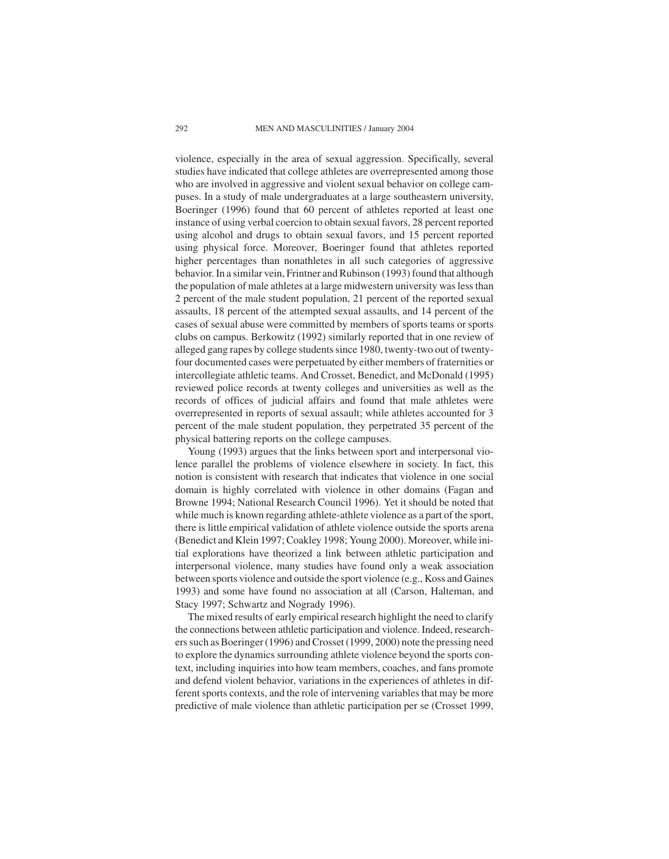violence, especially in the area of sexual aggression. Specifically, several studies have indicated that college athletes are overrepresented among those who are involved in aggressive and violent sexual behavior on college campuses. In a study of male undergraduates at a large southeastern university, Boeringer (1996) found that 60 percent of athletes reported at least one instance of using verbal coercion to obtain sexual favors, 28 percent reported using alcohol and drugs to obtain sexual favors, and 15 percent reported using physical force. Moreover, Boeringer found that athletes reported higher percentages than nonathletes in all such categories of aggressive behavior. In a similar vein, Frintner and Rubinson (1993) found that although the population of male athletes at a large midwestern university was less than 2 percent of the male student population, 21 percent of the reported sexual assaults, 18 percent of the attempted sexual assaults, and 14 percent of the cases of sexual abuse were committed by members of sports teams or sports clubs on campus. Berkowitz (1992) similarly reported that in one review of alleged gang rapes by college students since 1980, twenty-two out of twentyfour documented cases were perpetuated by either members of fraternities or intercollegiate athletic teams. And Crosset, Benedict, and McDonald (1995) reviewed police records at twenty colleges and universities as well as the records of offices of judicial affairs and found that male athletes were overrepresented in reports of sexual assault; while athletes accounted for 3 percent of the male student population, they perpetrated 35 percent of the physical battering reports on the college campuses.

Young (1993) argues that the links between sport and interpersonal violence parallel the problems of violence elsewhere in society. In fact, this notion is consistent with research that indicates that violence in one social domain is highly correlated with violence in other domains (Fagan and Browne 1994; National Research Council 1996). Yet it should be noted that while much is known regarding athlete-athlete violence as a part of the sport, there is little empirical validation of athlete violence outside the sports arena (Benedict and Klein 1997; Coakley 1998; Young 2000). Moreover, while initial explorations have theorized a link between athletic participation and interpersonal violence, many studies have found only a weak association between sports violence and outside the sport violence (e.g., Koss and Gaines 1993) and some have found no association at all (Carson, Halteman, and Stacy 1997; Schwartz and Nogrady 1996).

The mixed results of early empirical research highlight the need to clarify the connections between athletic participation and violence. Indeed, researchers such as Boeringer (1996) and Crosset (1999, 2000) note the pressing need to explore the dynamics surrounding athlete violence beyond the sports context, including inquiries into how team members, coaches, and fans promote and defend violent behavior, variations in the experiences of athletes in different sports contexts, and the role of intervening variables that may be more predictive of male violence than athletic participation per se (Crosset 1999,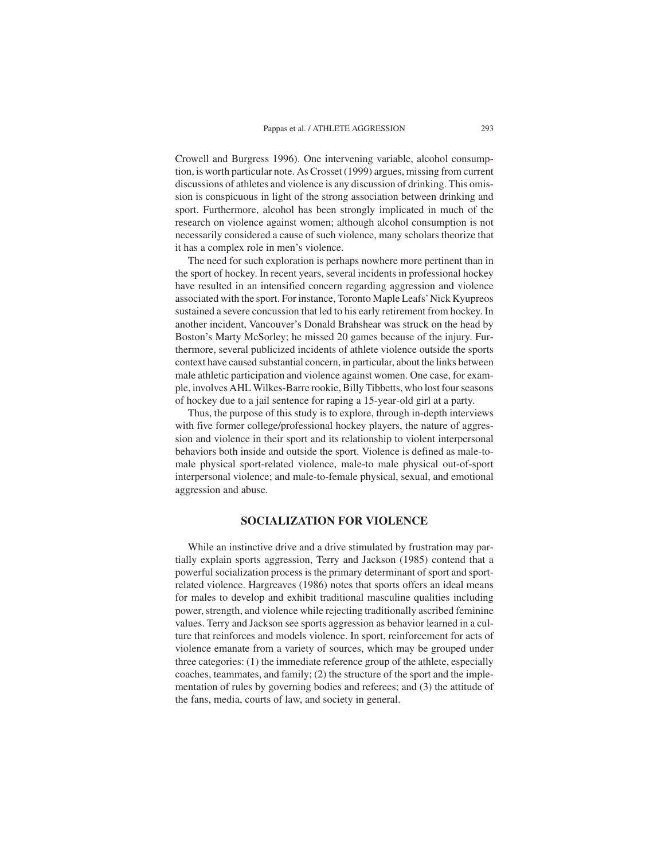Crowell and Burgress 1996). One intervening variable, alcohol consumption, is worth particular note. As Crosset (1999) argues, missing from current discussions of athletes and violence is any discussion of drinking. This omission is conspicuous in light of the strong association between drinking and sport. Furthermore, alcohol has been strongly implicated in much of the research on violence against women; although alcohol consumption is not necessarily considered a cause of such violence, many scholars theorize that it has a complex role in men's violence.

The need for such exploration is perhaps nowhere more pertinent than in the sport of hockey. In recent years, several incidents in professional hockey have resulted in an intensified concern regarding aggression and violence associated with the sport. For instance, Toronto Maple Leafs'Nick Kyupreos sustained a severe concussion that led to his early retirement from hockey. In another incident, Vancouver's Donald Brahshear was struck on the head by Boston's Marty McSorley; he missed 20 games because of the injury. Furthermore, several publicized incidents of athlete violence outside the sports context have caused substantial concern, in particular, about the links between male athletic participation and violence against women. One case, for example, involves AHL Wilkes-Barre rookie, Billy Tibbetts, who lost four seasons of hockey due to a jail sentence for raping a 15-year-old girl at a party.

Thus, the purpose of this study is to explore, through in-depth interviews with five former college/professional hockey players, the nature of aggression and violence in their sport and its relationship to violent interpersonal behaviors both inside and outside the sport. Violence is defined as male-tomale physical sport-related violence, male-to male physical out-of-sport interpersonal violence; and male-to-female physical, sexual, and emotional aggression and abuse.

#### **SOCIALIZATION FOR VIOLENCE**

While an instinctive drive and a drive stimulated by frustration may partially explain sports aggression, Terry and Jackson (1985) contend that a powerful socialization process is the primary determinant of sport and sportrelated violence. Hargreaves (1986) notes that sports offers an ideal means for males to develop and exhibit traditional masculine qualities including power, strength, and violence while rejecting traditionally ascribed feminine values. Terry and Jackson see sports aggression as behavior learned in a culture that reinforces and models violence. In sport, reinforcement for acts of violence emanate from a variety of sources, which may be grouped under three categories: (1) the immediate reference group of the athlete, especially coaches, teammates, and family; (2) the structure of the sport and the implementation of rules by governing bodies and referees; and (3) the attitude of the fans, media, courts of law, and society in general.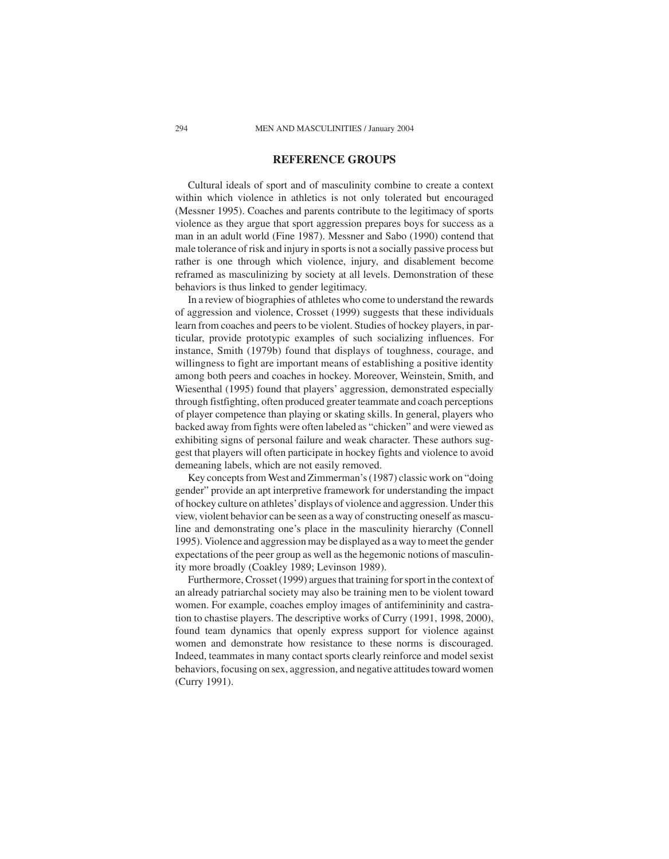### **REFERENCE GROUPS**

Cultural ideals of sport and of masculinity combine to create a context within which violence in athletics is not only tolerated but encouraged (Messner 1995). Coaches and parents contribute to the legitimacy of sports violence as they argue that sport aggression prepares boys for success as a man in an adult world (Fine 1987). Messner and Sabo (1990) contend that male tolerance of risk and injury in sports is not a socially passive process but rather is one through which violence, injury, and disablement become reframed as masculinizing by society at all levels. Demonstration of these behaviors is thus linked to gender legitimacy.

In a review of biographies of athletes who come to understand the rewards of aggression and violence, Crosset (1999) suggests that these individuals learn from coaches and peers to be violent. Studies of hockey players, in particular, provide prototypic examples of such socializing influences. For instance, Smith (1979b) found that displays of toughness, courage, and willingness to fight are important means of establishing a positive identity among both peers and coaches in hockey. Moreover, Weinstein, Smith, and Wiesenthal (1995) found that players' aggression, demonstrated especially through fistfighting, often produced greater teammate and coach perceptions of player competence than playing or skating skills. In general, players who backed away from fights were often labeled as "chicken" and were viewed as exhibiting signs of personal failure and weak character. These authors suggest that players will often participate in hockey fights and violence to avoid demeaning labels, which are not easily removed.

Key concepts from West and Zimmerman's (1987) classic work on "doing gender" provide an apt interpretive framework for understanding the impact of hockey culture on athletes'displays of violence and aggression. Under this view, violent behavior can be seen as a way of constructing oneself as masculine and demonstrating one's place in the masculinity hierarchy (Connell 1995). Violence and aggression may be displayed as a way to meet the gender expectations of the peer group as well as the hegemonic notions of masculinity more broadly (Coakley 1989; Levinson 1989).

Furthermore, Crosset (1999) argues that training for sport in the context of an already patriarchal society may also be training men to be violent toward women. For example, coaches employ images of antifemininity and castration to chastise players. The descriptive works of Curry (1991, 1998, 2000), found team dynamics that openly express support for violence against women and demonstrate how resistance to these norms is discouraged. Indeed, teammates in many contact sports clearly reinforce and model sexist behaviors, focusing on sex, aggression, and negative attitudes toward women (Curry 1991).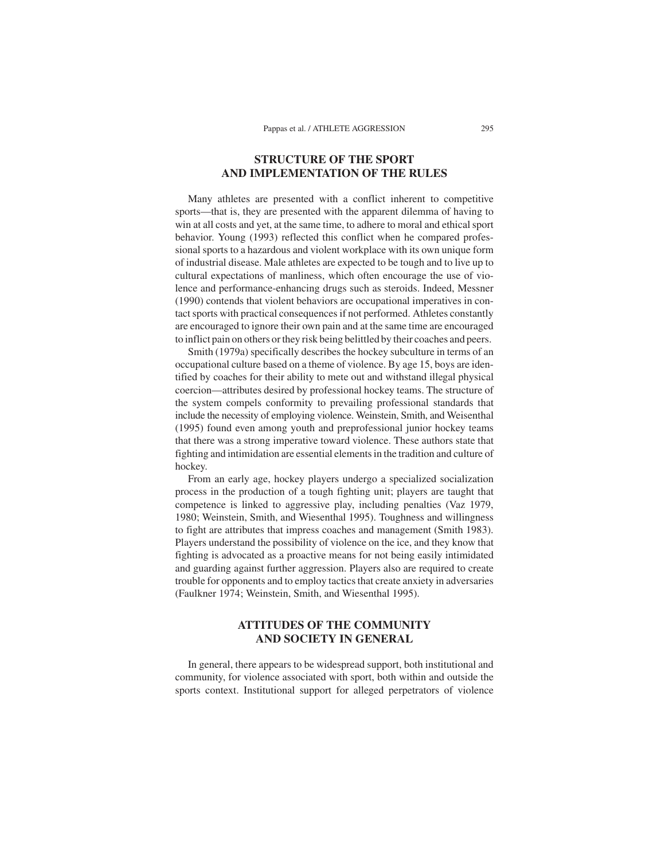# **STRUCTURE OF THE SPORT AND IMPLEMENTATION OF THE RULES**

Many athletes are presented with a conflict inherent to competitive sports—that is, they are presented with the apparent dilemma of having to win at all costs and yet, at the same time, to adhere to moral and ethical sport behavior. Young (1993) reflected this conflict when he compared professional sports to a hazardous and violent workplace with its own unique form of industrial disease. Male athletes are expected to be tough and to live up to cultural expectations of manliness, which often encourage the use of violence and performance-enhancing drugs such as steroids. Indeed, Messner (1990) contends that violent behaviors are occupational imperatives in contact sports with practical consequences if not performed. Athletes constantly are encouraged to ignore their own pain and at the same time are encouraged to inflict pain on others or they risk being belittled by their coaches and peers.

Smith (1979a) specifically describes the hockey subculture in terms of an occupational culture based on a theme of violence. By age 15, boys are identified by coaches for their ability to mete out and withstand illegal physical coercion—attributes desired by professional hockey teams. The structure of the system compels conformity to prevailing professional standards that include the necessity of employing violence. Weinstein, Smith, and Weisenthal (1995) found even among youth and preprofessional junior hockey teams that there was a strong imperative toward violence. These authors state that fighting and intimidation are essential elements in the tradition and culture of hockey.

From an early age, hockey players undergo a specialized socialization process in the production of a tough fighting unit; players are taught that competence is linked to aggressive play, including penalties (Vaz 1979, 1980; Weinstein, Smith, and Wiesenthal 1995). Toughness and willingness to fight are attributes that impress coaches and management (Smith 1983). Players understand the possibility of violence on the ice, and they know that fighting is advocated as a proactive means for not being easily intimidated and guarding against further aggression. Players also are required to create trouble for opponents and to employ tactics that create anxiety in adversaries (Faulkner 1974; Weinstein, Smith, and Wiesenthal 1995).

## **ATTITUDES OF THE COMMUNITY AND SOCIETY IN GENERAL**

In general, there appears to be widespread support, both institutional and community, for violence associated with sport, both within and outside the sports context. Institutional support for alleged perpetrators of violence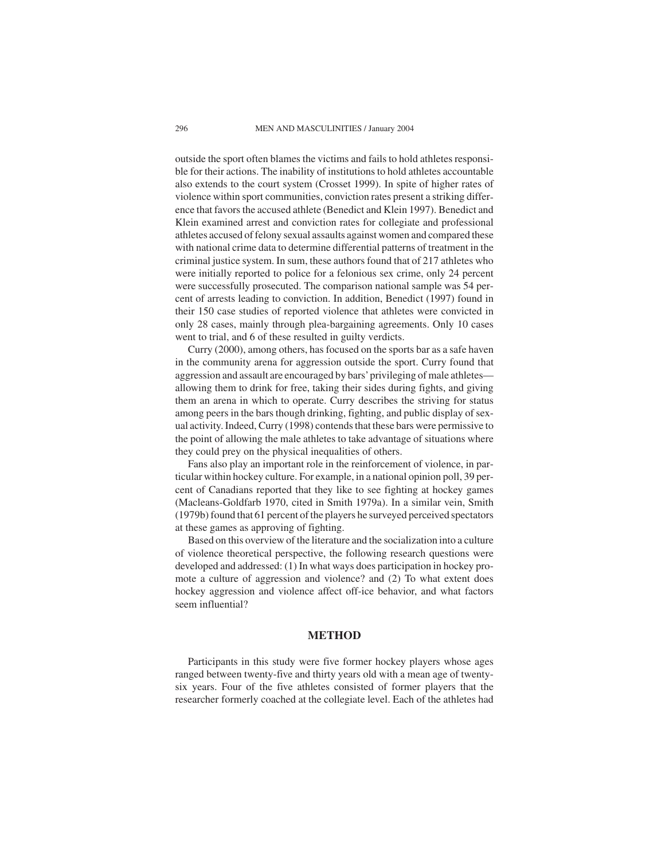outside the sport often blames the victims and fails to hold athletes responsible for their actions. The inability of institutions to hold athletes accountable also extends to the court system (Crosset 1999). In spite of higher rates of violence within sport communities, conviction rates present a striking difference that favors the accused athlete (Benedict and Klein 1997). Benedict and Klein examined arrest and conviction rates for collegiate and professional athletes accused of felony sexual assaults against women and compared these with national crime data to determine differential patterns of treatment in the criminal justice system. In sum, these authors found that of 217 athletes who were initially reported to police for a felonious sex crime, only 24 percent were successfully prosecuted. The comparison national sample was 54 percent of arrests leading to conviction. In addition, Benedict (1997) found in their 150 case studies of reported violence that athletes were convicted in only 28 cases, mainly through plea-bargaining agreements. Only 10 cases went to trial, and 6 of these resulted in guilty verdicts.

Curry (2000), among others, has focused on the sports bar as a safe haven in the community arena for aggression outside the sport. Curry found that aggression and assault are encouraged by bars'privileging of male athletes allowing them to drink for free, taking their sides during fights, and giving them an arena in which to operate. Curry describes the striving for status among peers in the bars though drinking, fighting, and public display of sexual activity. Indeed, Curry (1998) contends that these bars were permissive to the point of allowing the male athletes to take advantage of situations where they could prey on the physical inequalities of others.

Fans also play an important role in the reinforcement of violence, in particular within hockey culture. For example, in a national opinion poll, 39 percent of Canadians reported that they like to see fighting at hockey games (Macleans-Goldfarb 1970, cited in Smith 1979a). In a similar vein, Smith (1979b) found that 61 percent of the players he surveyed perceived spectators at these games as approving of fighting.

Based on this overview of the literature and the socialization into a culture of violence theoretical perspective, the following research questions were developed and addressed: (1) In what ways does participation in hockey promote a culture of aggression and violence? and (2) To what extent does hockey aggression and violence affect off-ice behavior, and what factors seem influential?

#### **METHOD**

Participants in this study were five former hockey players whose ages ranged between twenty-five and thirty years old with a mean age of twentysix years. Four of the five athletes consisted of former players that the researcher formerly coached at the collegiate level. Each of the athletes had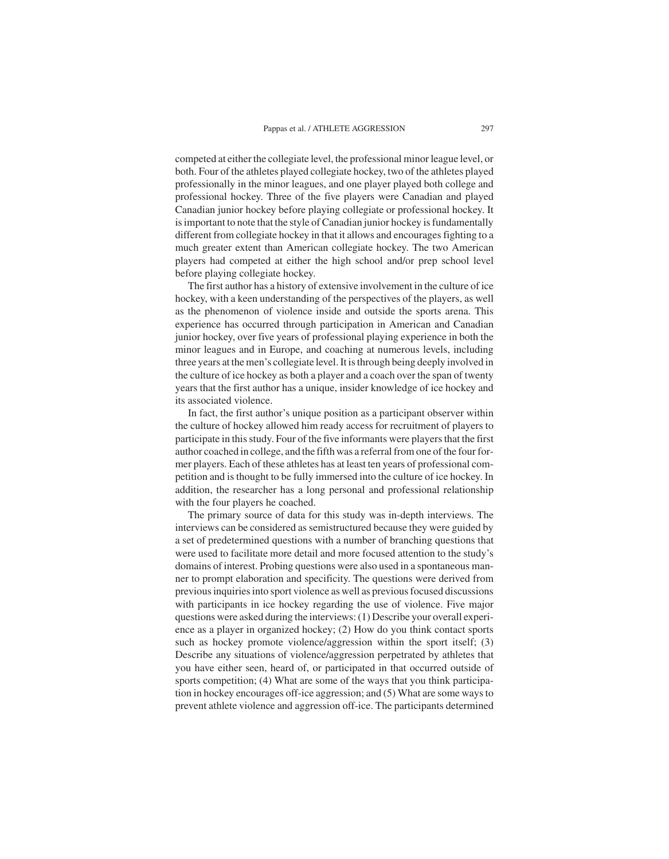competed at either the collegiate level, the professional minor league level, or both. Four of the athletes played collegiate hockey, two of the athletes played professionally in the minor leagues, and one player played both college and professional hockey. Three of the five players were Canadian and played Canadian junior hockey before playing collegiate or professional hockey. It is important to note that the style of Canadian junior hockey is fundamentally different from collegiate hockey in that it allows and encourages fighting to a much greater extent than American collegiate hockey. The two American players had competed at either the high school and/or prep school level before playing collegiate hockey.

The first author has a history of extensive involvement in the culture of ice hockey, with a keen understanding of the perspectives of the players, as well as the phenomenon of violence inside and outside the sports arena. This experience has occurred through participation in American and Canadian junior hockey, over five years of professional playing experience in both the minor leagues and in Europe, and coaching at numerous levels, including three years at the men's collegiate level. It is through being deeply involved in the culture of ice hockey as both a player and a coach over the span of twenty years that the first author has a unique, insider knowledge of ice hockey and its associated violence.

In fact, the first author's unique position as a participant observer within the culture of hockey allowed him ready access for recruitment of players to participate in this study. Four of the five informants were players that the first author coached in college, and the fifth was a referral from one of the four former players. Each of these athletes has at least ten years of professional competition and is thought to be fully immersed into the culture of ice hockey. In addition, the researcher has a long personal and professional relationship with the four players he coached.

The primary source of data for this study was in-depth interviews. The interviews can be considered as semistructured because they were guided by a set of predetermined questions with a number of branching questions that were used to facilitate more detail and more focused attention to the study's domains of interest. Probing questions were also used in a spontaneous manner to prompt elaboration and specificity. The questions were derived from previous inquiries into sport violence as well as previous focused discussions with participants in ice hockey regarding the use of violence. Five major questions were asked during the interviews: (1) Describe your overall experience as a player in organized hockey; (2) How do you think contact sports such as hockey promote violence/aggression within the sport itself; (3) Describe any situations of violence/aggression perpetrated by athletes that you have either seen, heard of, or participated in that occurred outside of sports competition; (4) What are some of the ways that you think participation in hockey encourages off-ice aggression; and (5) What are some ways to prevent athlete violence and aggression off-ice. The participants determined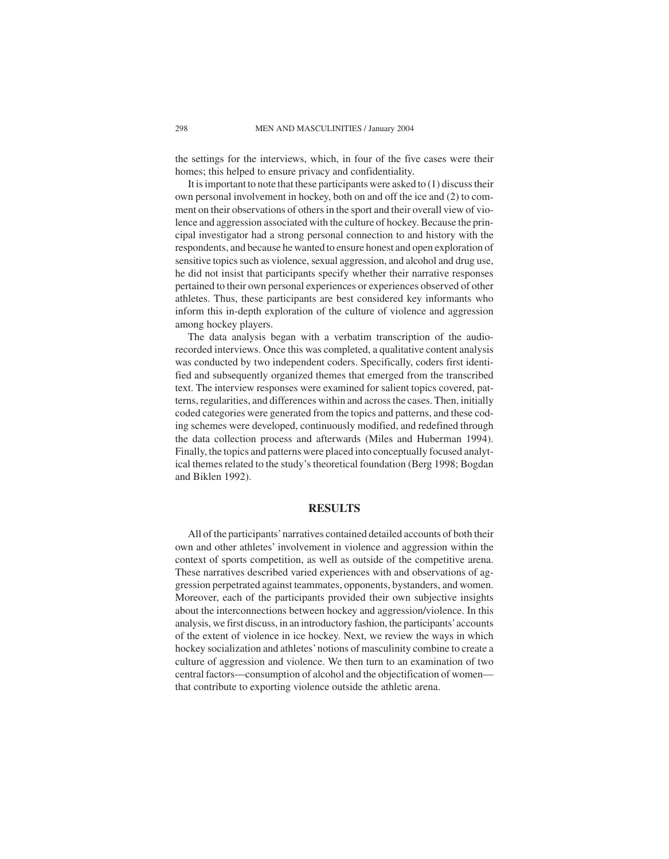the settings for the interviews, which, in four of the five cases were their homes; this helped to ensure privacy and confidentiality.

It is important to note that these participants were asked to (1) discuss their own personal involvement in hockey, both on and off the ice and (2) to comment on their observations of others in the sport and their overall view of violence and aggression associated with the culture of hockey. Because the principal investigator had a strong personal connection to and history with the respondents, and because he wanted to ensure honest and open exploration of sensitive topics such as violence, sexual aggression, and alcohol and drug use, he did not insist that participants specify whether their narrative responses pertained to their own personal experiences or experiences observed of other athletes. Thus, these participants are best considered key informants who inform this in-depth exploration of the culture of violence and aggression among hockey players.

The data analysis began with a verbatim transcription of the audiorecorded interviews. Once this was completed, a qualitative content analysis was conducted by two independent coders. Specifically, coders first identified and subsequently organized themes that emerged from the transcribed text. The interview responses were examined for salient topics covered, patterns, regularities, and differences within and across the cases. Then, initially coded categories were generated from the topics and patterns, and these coding schemes were developed, continuously modified, and redefined through the data collection process and afterwards (Miles and Huberman 1994). Finally, the topics and patterns were placed into conceptually focused analytical themes related to the study's theoretical foundation (Berg 1998; Bogdan and Biklen 1992).

### **RESULTS**

All of the participants'narratives contained detailed accounts of both their own and other athletes' involvement in violence and aggression within the context of sports competition, as well as outside of the competitive arena. These narratives described varied experiences with and observations of aggression perpetrated against teammates, opponents, bystanders, and women. Moreover, each of the participants provided their own subjective insights about the interconnections between hockey and aggression/violence. In this analysis, we first discuss, in an introductory fashion, the participants'accounts of the extent of violence in ice hockey. Next, we review the ways in which hockey socialization and athletes'notions of masculinity combine to create a culture of aggression and violence. We then turn to an examination of two central factors—consumption of alcohol and the objectification of women that contribute to exporting violence outside the athletic arena.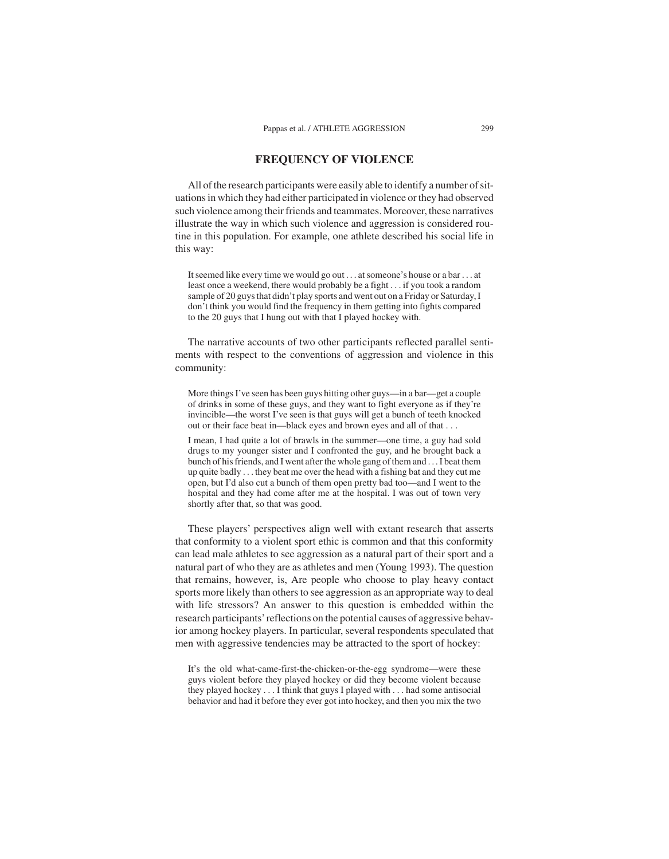## **FREQUENCY OF VIOLENCE**

All of the research participants were easily able to identify a number of situations in which they had either participated in violence or they had observed such violence among their friends and teammates. Moreover, these narratives illustrate the way in which such violence and aggression is considered routine in this population. For example, one athlete described his social life in this way:

It seemed like every time we would go out  $\dots$  at someone's house or a bar  $\dots$  at least once a weekend, there would probably be a fight . . . if you took a random sample of 20 guys that didn't play sports and went out on a Friday or Saturday, I don't think you would find the frequency in them getting into fights compared to the 20 guys that I hung out with that I played hockey with.

The narrative accounts of two other participants reflected parallel sentiments with respect to the conventions of aggression and violence in this community:

More things I've seen has been guys hitting other guys—in a bar—get a couple of drinks in some of these guys, and they want to fight everyone as if they're invincible—the worst I've seen is that guys will get a bunch of teeth knocked out or their face beat in—black eyes and brown eyes and all of that . . .

I mean, I had quite a lot of brawls in the summer—one time, a guy had sold drugs to my younger sister and I confronted the guy, and he brought back a bunch of his friends, and I went after the whole gang of them and ...I beat them up quite badly . . . they beat me over the head with a fishing bat and they cut me open, but I'd also cut a bunch of them open pretty bad too—and I went to the hospital and they had come after me at the hospital. I was out of town very shortly after that, so that was good.

These players' perspectives align well with extant research that asserts that conformity to a violent sport ethic is common and that this conformity can lead male athletes to see aggression as a natural part of their sport and a natural part of who they are as athletes and men (Young 1993). The question that remains, however, is, Are people who choose to play heavy contact sports more likely than others to see aggression as an appropriate way to deal with life stressors? An answer to this question is embedded within the research participants'reflections on the potential causes of aggressive behavior among hockey players. In particular, several respondents speculated that men with aggressive tendencies may be attracted to the sport of hockey:

It's the old what-came-first-the-chicken-or-the-egg syndrome—were these guys violent before they played hockey or did they become violent because they played hockey ...I think that guys I played with . . . had some antisocial behavior and had it before they ever got into hockey, and then you mix the two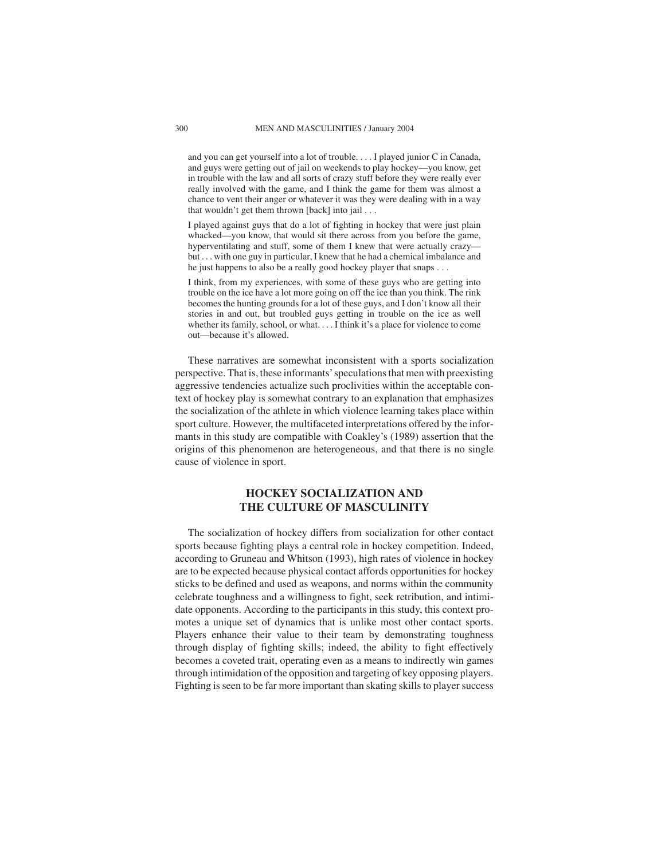and you can get yourself into a lot of trouble. ...I played junior C in Canada, and guys were getting out of jail on weekends to play hockey—you know, get in trouble with the law and all sorts of crazy stuff before they were really ever really involved with the game, and I think the game for them was almost a chance to vent their anger or whatever it was they were dealing with in a way that wouldn't get them thrown [back] into jail . . .

I played against guys that do a lot of fighting in hockey that were just plain whacked—you know, that would sit there across from you before the game, hyperventilating and stuff, some of them I knew that were actually crazy but . . . with one guy in particular, I knew that he had a chemical imbalance and he just happens to also be a really good hockey player that snaps . . .

I think, from my experiences, with some of these guys who are getting into trouble on the ice have a lot more going on off the ice than you think. The rink becomes the hunting grounds for a lot of these guys, and I don't know all their stories in and out, but troubled guys getting in trouble on the ice as well whether its family, school, or what. ...I think it's a place for violence to come out—because it's allowed.

These narratives are somewhat inconsistent with a sports socialization perspective. That is, these informants'speculations that men with preexisting aggressive tendencies actualize such proclivities within the acceptable context of hockey play is somewhat contrary to an explanation that emphasizes the socialization of the athlete in which violence learning takes place within sport culture. However, the multifaceted interpretations offered by the informants in this study are compatible with Coakley's (1989) assertion that the origins of this phenomenon are heterogeneous, and that there is no single cause of violence in sport.

# **HOCKEY SOCIALIZATION AND THE CULTURE OF MASCULINITY**

The socialization of hockey differs from socialization for other contact sports because fighting plays a central role in hockey competition. Indeed, according to Gruneau and Whitson (1993), high rates of violence in hockey are to be expected because physical contact affords opportunities for hockey sticks to be defined and used as weapons, and norms within the community celebrate toughness and a willingness to fight, seek retribution, and intimidate opponents. According to the participants in this study, this context promotes a unique set of dynamics that is unlike most other contact sports. Players enhance their value to their team by demonstrating toughness through display of fighting skills; indeed, the ability to fight effectively becomes a coveted trait, operating even as a means to indirectly win games through intimidation of the opposition and targeting of key opposing players. Fighting is seen to be far more important than skating skills to player success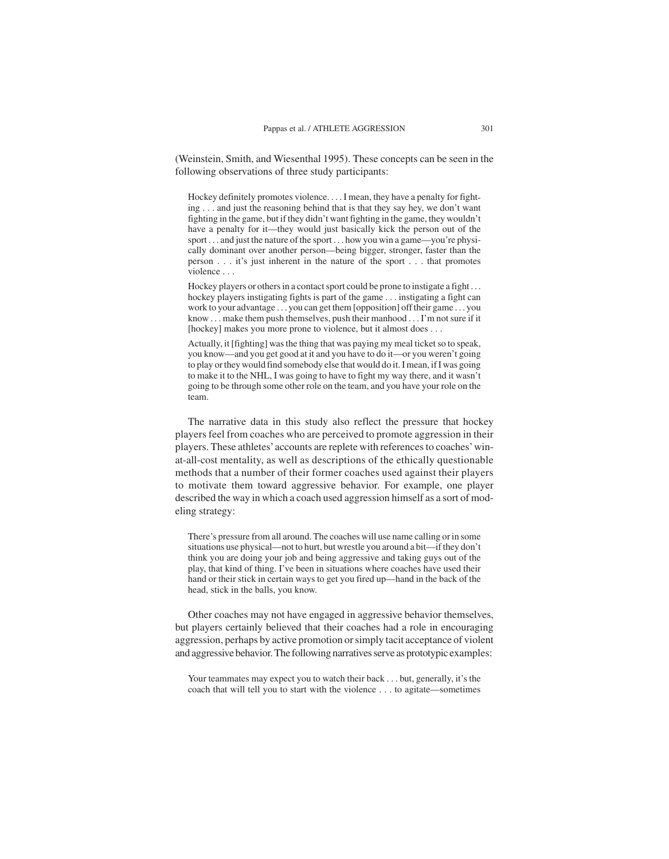(Weinstein, Smith, and Wiesenthal 1995). These concepts can be seen in the following observations of three study participants:

Hockey definitely promotes violence. ...I mean, they have a penalty for fighting . . . and just the reasoning behind that is that they say hey, we don't want fighting in the game, but if they didn't want fighting in the game, they wouldn't have a penalty for it—they would just basically kick the person out of the sport . . . and just the nature of the sport . . . how you win a game—you're physically dominant over another person—being bigger, stronger, faster than the person . . . it's just inherent in the nature of the sport . . . that promotes violence . . .

Hockey players or others in a contact sport could be prone to instigate a fight . . . hockey players instigating fights is part of the game . . . instigating a fight can work to your advantage . . . you can get them [opposition] off their game . . . you know . . . make them push themselves, push their manhood . . . I'm not sure if it [hockey] makes you more prone to violence, but it almost does . . .

Actually, it [fighting] was the thing that was paying my meal ticket so to speak, you know—and you get good at it and you have to do it—or you weren't going to play or they would find somebody else that would do it. I mean, if I was going to make it to the NHL, I was going to have to fight my way there, and it wasn't going to be through some other role on the team, and you have your role on the team.

The narrative data in this study also reflect the pressure that hockey players feel from coaches who are perceived to promote aggression in their players. These athletes'accounts are replete with references to coaches'winat-all-cost mentality, as well as descriptions of the ethically questionable methods that a number of their former coaches used against their players to motivate them toward aggressive behavior. For example, one player described the way in which a coach used aggression himself as a sort of modeling strategy:

There's pressure from all around. The coaches will use name calling or in some situations use physical—not to hurt, but wrestle you around a bit—if they don't think you are doing your job and being aggressive and taking guys out of the play, that kind of thing. I've been in situations where coaches have used their hand or their stick in certain ways to get you fired up—hand in the back of the head, stick in the balls, you know.

Other coaches may not have engaged in aggressive behavior themselves, but players certainly believed that their coaches had a role in encouraging aggression, perhaps by active promotion or simply tacit acceptance of violent and aggressive behavior. The following narratives serve as prototypic examples:

Your teammates may expect you to watch their back . . . but, generally, it's the coach that will tell you to start with the violence . . . to agitate—sometimes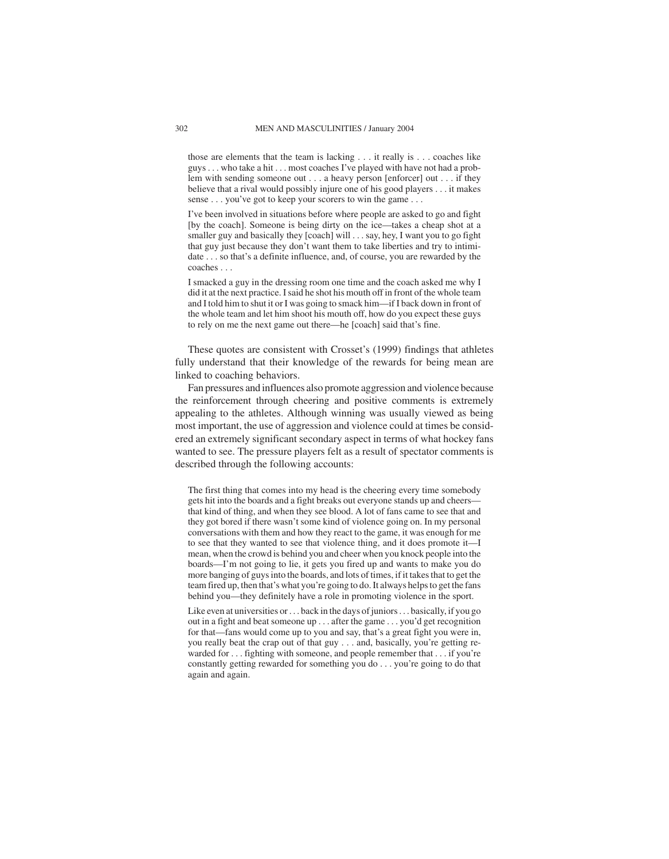those are elements that the team is lacking . . . it really is . . . coaches like guys . . . who take a hit . . . most coaches I've played with have not had a problem with sending someone out . . . a heavy person [enforcer] out . . . if they believe that a rival would possibly injure one of his good players . . . it makes sense . . . you've got to keep your scorers to win the game . . .

I've been involved in situations before where people are asked to go and fight [by the coach]. Someone is being dirty on the ice—takes a cheap shot at a smaller guy and basically they [coach] will . . . say, hey, I want you to go fight that guy just because they don't want them to take liberties and try to intimidate . . . so that's a definite influence, and, of course, you are rewarded by the coaches . . .

I smacked a guy in the dressing room one time and the coach asked me why I did it at the next practice. I said he shot his mouth off in front of the whole team and I told him to shut it or I was going to smack him—if I back down in front of the whole team and let him shoot his mouth off, how do you expect these guys to rely on me the next game out there—he [coach] said that's fine.

These quotes are consistent with Crosset's (1999) findings that athletes fully understand that their knowledge of the rewards for being mean are linked to coaching behaviors.

Fan pressures and influences also promote aggression and violence because the reinforcement through cheering and positive comments is extremely appealing to the athletes. Although winning was usually viewed as being most important, the use of aggression and violence could at times be considered an extremely significant secondary aspect in terms of what hockey fans wanted to see. The pressure players felt as a result of spectator comments is described through the following accounts:

The first thing that comes into my head is the cheering every time somebody gets hit into the boards and a fight breaks out everyone stands up and cheers that kind of thing, and when they see blood. A lot of fans came to see that and they got bored if there wasn't some kind of violence going on. In my personal conversations with them and how they react to the game, it was enough for me to see that they wanted to see that violence thing, and it does promote it—I mean, when the crowd is behind you and cheer when you knock people into the boards—I'm not going to lie, it gets you fired up and wants to make you do more banging of guys into the boards, and lots of times, if it takes that to get the team fired up, then that's what you're going to do. It always helps to get the fans behind you—they definitely have a role in promoting violence in the sport.

Like even at universities or. . . back in the days of juniors. . . basically, if you go out in a fight and beat someone up . . . after the game . . . you'd get recognition for that—fans would come up to you and say, that's a great fight you were in, you really beat the crap out of that guy . . . and, basically, you're getting rewarded for . . . fighting with someone, and people remember that . . . if you're constantly getting rewarded for something you do . . . you're going to do that again and again.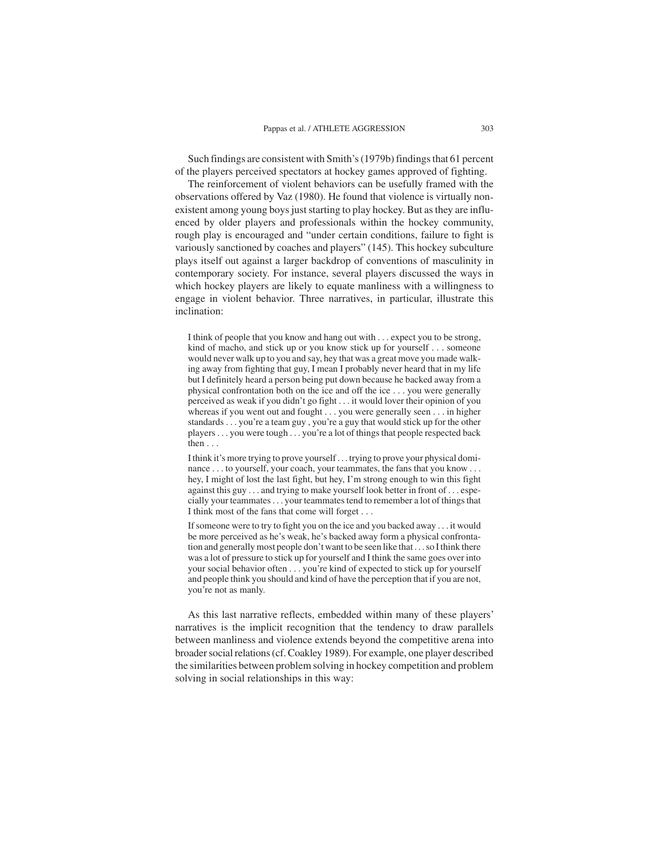Such findings are consistent with Smith's (1979b) findings that 61 percent of the players perceived spectators at hockey games approved of fighting.

The reinforcement of violent behaviors can be usefully framed with the observations offered by Vaz (1980). He found that violence is virtually nonexistent among young boys just starting to play hockey. But as they are influenced by older players and professionals within the hockey community, rough play is encouraged and "under certain conditions, failure to fight is variously sanctioned by coaches and players" (145). This hockey subculture plays itself out against a larger backdrop of conventions of masculinity in contemporary society. For instance, several players discussed the ways in which hockey players are likely to equate manliness with a willingness to engage in violent behavior. Three narratives, in particular, illustrate this inclination:

I think of people that you know and hang out with ... expect you to be strong, kind of macho, and stick up or you know stick up for yourself . . . someone would never walk up to you and say, hey that was a great move you made walking away from fighting that guy, I mean I probably never heard that in my life but I definitely heard a person being put down because he backed away from a physical confrontation both on the ice and off the ice . . . you were generally perceived as weak if you didn't go fight . . . it would lover their opinion of you whereas if you went out and fought . . . you were generally seen . . . in higher standards . . . you're a team guy , you're a guy that would stick up for the other players. . . you were tough . . . you're a lot of things that people respected back then . . .

I think it's more trying to prove yourself. . . trying to prove your physical dominance . . . to yourself, your coach, your teammates, the fans that you know . . . hey, I might of lost the last fight, but hey, I'm strong enough to win this fight against this guy . . . and trying to make yourself look better in front of . . . especially your teammates. . . your teammates tend to remember a lot of things that I think most of the fans that come will forget . . .

If someone were to try to fight you on the ice and you backed away . . . it would be more perceived as he's weak, he's backed away form a physical confrontation and generally most people don't want to be seen like that . . . so Ithink there was a lot of pressure to stick up for yourself and I think the same goes over into your social behavior often . . . you're kind of expected to stick up for yourself and people think you should and kind of have the perception that if you are not, you're not as manly.

As this last narrative reflects, embedded within many of these players' narratives is the implicit recognition that the tendency to draw parallels between manliness and violence extends beyond the competitive arena into broader social relations (cf. Coakley 1989). For example, one player described the similarities between problem solving in hockey competition and problem solving in social relationships in this way: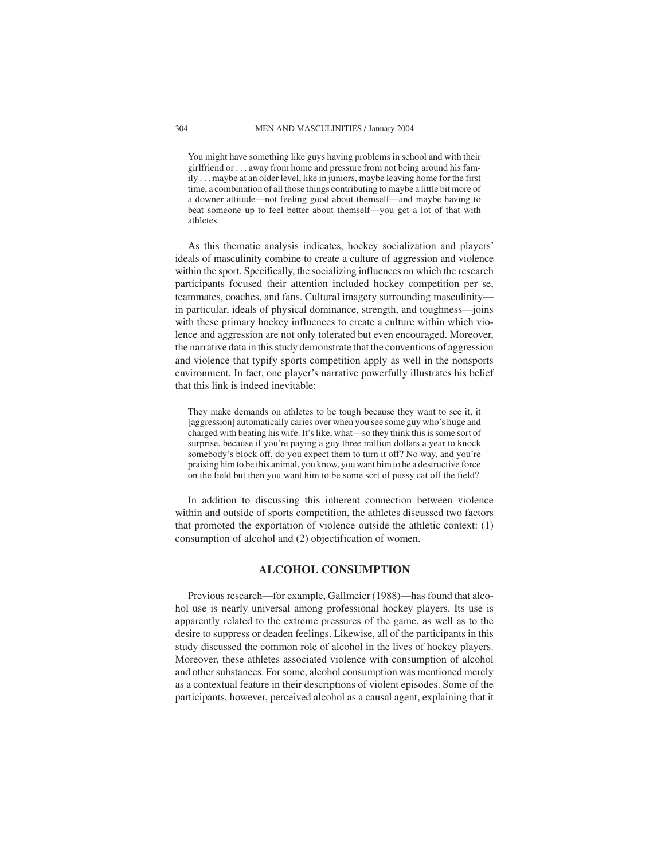You might have something like guys having problems in school and with their girlfriend or . . . away from home and pressure from not being around his family . . . maybe at an older level, like in juniors, maybe leaving home for the first time, a combination of all those things contributing to maybe a little bit more of a downer attitude—not feeling good about themself—and maybe having to beat someone up to feel better about themself—you get a lot of that with athletes.

As this thematic analysis indicates, hockey socialization and players' ideals of masculinity combine to create a culture of aggression and violence within the sport. Specifically, the socializing influences on which the research participants focused their attention included hockey competition per se, teammates, coaches, and fans. Cultural imagery surrounding masculinity in particular, ideals of physical dominance, strength, and toughness—joins with these primary hockey influences to create a culture within which violence and aggression are not only tolerated but even encouraged. Moreover, the narrative data in this study demonstrate that the conventions of aggression and violence that typify sports competition apply as well in the nonsports environment. In fact, one player's narrative powerfully illustrates his belief that this link is indeed inevitable:

They make demands on athletes to be tough because they want to see it, it [aggression] automatically caries over when you see some guy who's huge and charged with beating his wife. It's like, what—so they think this is some sort of surprise, because if you're paying a guy three million dollars a year to knock somebody's block off, do you expect them to turn it off? No way, and you're praising him to be this animal, you know, you want him to be a destructive force on the field but then you want him to be some sort of pussy cat off the field?

In addition to discussing this inherent connection between violence within and outside of sports competition, the athletes discussed two factors that promoted the exportation of violence outside the athletic context: (1) consumption of alcohol and (2) objectification of women.

## **ALCOHOL CONSUMPTION**

Previous research—for example, Gallmeier (1988)—has found that alcohol use is nearly universal among professional hockey players. Its use is apparently related to the extreme pressures of the game, as well as to the desire to suppress or deaden feelings. Likewise, all of the participants in this study discussed the common role of alcohol in the lives of hockey players. Moreover, these athletes associated violence with consumption of alcohol and other substances. For some, alcohol consumption was mentioned merely as a contextual feature in their descriptions of violent episodes. Some of the participants, however, perceived alcohol as a causal agent, explaining that it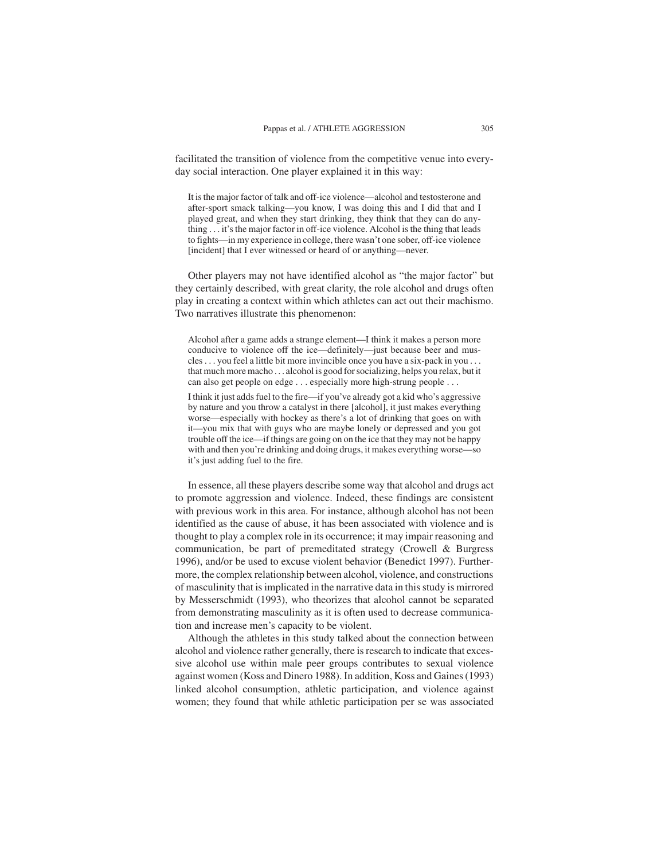facilitated the transition of violence from the competitive venue into everyday social interaction. One player explained it in this way:

It is the major factor of talk and off-ice violence—alcohol and testosterone and after-sport smack talking—you know, I was doing this and I did that and I played great, and when they start drinking, they think that they can do anything . . . it's the major factor in off-ice violence. Alcohol is the thing that leads to fights—in my experience in college, there wasn't one sober, off-ice violence [incident] that I ever witnessed or heard of or anything—never.

Other players may not have identified alcohol as "the major factor" but they certainly described, with great clarity, the role alcohol and drugs often play in creating a context within which athletes can act out their machismo. Two narratives illustrate this phenomenon:

Alcohol after a game adds a strange element—I think it makes a person more conducive to violence off the ice—definitely—just because beer and muscles . . . you feel a little bit more invincible once you have a six-pack in you . . . that much more macho . . . alcohol is good for socializing, helps you relax, but it can also get people on edge . . . especially more high-strung people . . .

I think it just adds fuel to the fire—if you've already got a kid who's aggressive by nature and you throw a catalyst in there [alcohol], it just makes everything worse—especially with hockey as there's a lot of drinking that goes on with it—you mix that with guys who are maybe lonely or depressed and you got trouble off the ice—if things are going on on the ice that they may not be happy with and then you're drinking and doing drugs, it makes everything worse—so it's just adding fuel to the fire.

In essence, all these players describe some way that alcohol and drugs act to promote aggression and violence. Indeed, these findings are consistent with previous work in this area. For instance, although alcohol has not been identified as the cause of abuse, it has been associated with violence and is thought to play a complex role in its occurrence; it may impair reasoning and communication, be part of premeditated strategy (Crowell & Burgress 1996), and/or be used to excuse violent behavior (Benedict 1997). Furthermore, the complex relationship between alcohol, violence, and constructions of masculinity that is implicated in the narrative data in this study is mirrored by Messerschmidt (1993), who theorizes that alcohol cannot be separated from demonstrating masculinity as it is often used to decrease communication and increase men's capacity to be violent.

Although the athletes in this study talked about the connection between alcohol and violence rather generally, there is research to indicate that excessive alcohol use within male peer groups contributes to sexual violence against women (Koss and Dinero 1988). In addition, Koss and Gaines (1993) linked alcohol consumption, athletic participation, and violence against women; they found that while athletic participation per se was associated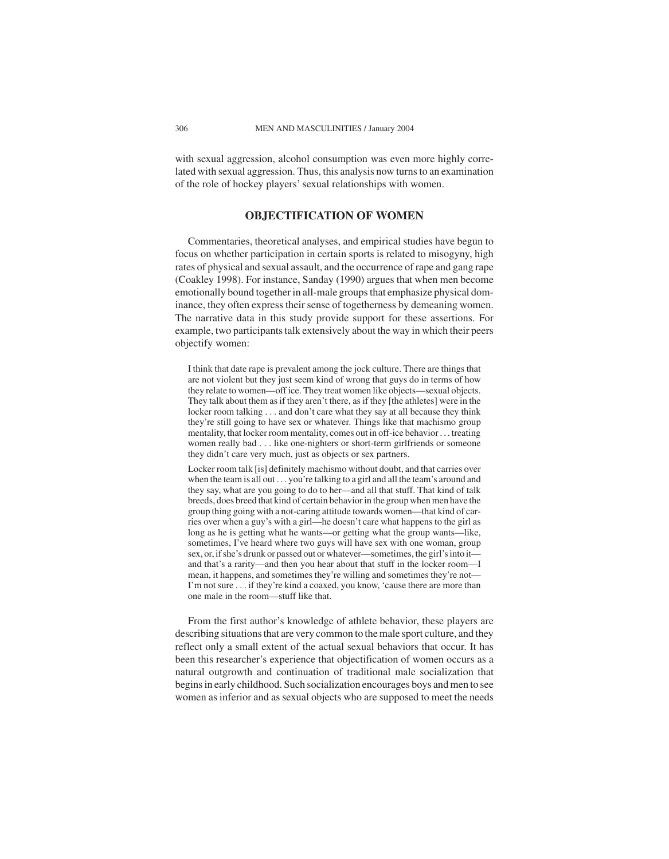with sexual aggression, alcohol consumption was even more highly correlated with sexual aggression. Thus, this analysis now turns to an examination of the role of hockey players' sexual relationships with women.

## **OBJECTIFICATION OF WOMEN**

Commentaries, theoretical analyses, and empirical studies have begun to focus on whether participation in certain sports is related to misogyny, high rates of physical and sexual assault, and the occurrence of rape and gang rape (Coakley 1998). For instance, Sanday (1990) argues that when men become emotionally bound together in all-male groups that emphasize physical dominance, they often express their sense of togetherness by demeaning women. The narrative data in this study provide support for these assertions. For example, two participants talk extensively about the way in which their peers objectify women:

I think that date rape is prevalent among the jock culture. There are things that are not violent but they just seem kind of wrong that guys do in terms of how they relate to women—off ice. They treat women like objects—sexual objects. They talk about them as if they aren't there, as if they [the athletes] were in the locker room talking . . . and don't care what they say at all because they think they're still going to have sex or whatever. Things like that machismo group mentality, that locker room mentality, comes out in off-ice behavior. . . treating women really bad . . . like one-nighters or short-term girlfriends or someone they didn't care very much, just as objects or sex partners.

Locker room talk [is] definitely machismo without doubt, and that carries over when the team is all out . . . you're talking to a girl and all the team's around and they say, what are you going to do to her—and all that stuff. That kind of talk breeds, does breed that kind of certain behavior in the group when men have the group thing going with a not-caring attitude towards women—that kind of carries over when a guy's with a girl—he doesn't care what happens to the girl as long as he is getting what he wants—or getting what the group wants—like, sometimes, I've heard where two guys will have sex with one woman, group sex, or, if she's drunk or passed out or whatever—sometimes, the girl's into it and that's a rarity—and then you hear about that stuff in the locker room—I mean, it happens, and sometimes they're willing and sometimes they're not— I'm not sure . . . if they're kind a coaxed, you know, 'cause there are more than one male in the room—stuff like that.

From the first author's knowledge of athlete behavior, these players are describing situations that are very common to the male sport culture, and they reflect only a small extent of the actual sexual behaviors that occur. It has been this researcher's experience that objectification of women occurs as a natural outgrowth and continuation of traditional male socialization that begins in early childhood. Such socialization encourages boys and men to see women as inferior and as sexual objects who are supposed to meet the needs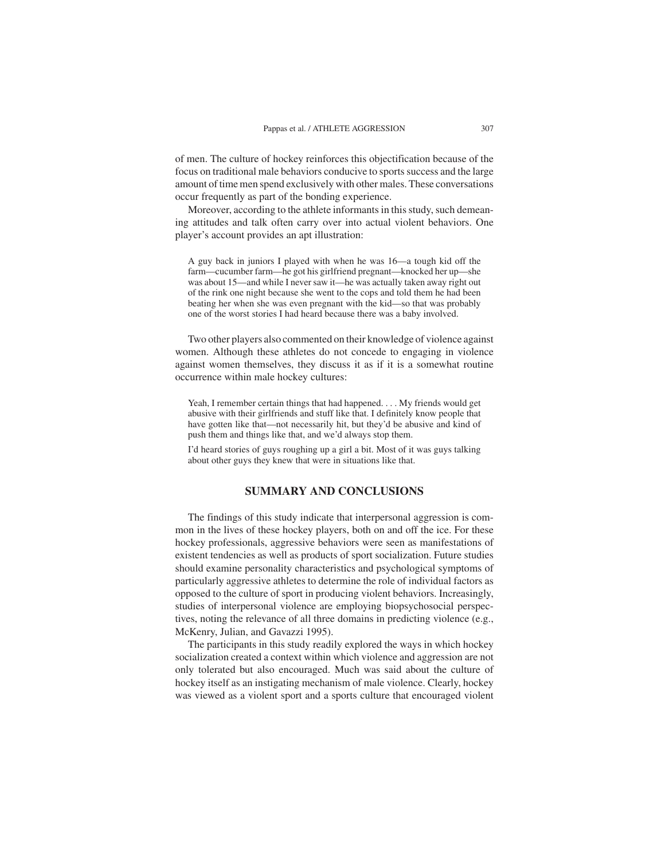of men. The culture of hockey reinforces this objectification because of the focus on traditional male behaviors conducive to sports success and the large amount of time men spend exclusively with other males. These conversations occur frequently as part of the bonding experience.

Moreover, according to the athlete informants in this study, such demeaning attitudes and talk often carry over into actual violent behaviors. One player's account provides an apt illustration:

A guy back in juniors I played with when he was 16—a tough kid off the farm—cucumber farm—he got his girlfriend pregnant—knocked her up—she was about 15—and while I never saw it—he was actually taken away right out of the rink one night because she went to the cops and told them he had been beating her when she was even pregnant with the kid—so that was probably one of the worst stories I had heard because there was a baby involved.

Two other players also commented on their knowledge of violence against women. Although these athletes do not concede to engaging in violence against women themselves, they discuss it as if it is a somewhat routine occurrence within male hockey cultures:

Yeah, I remember certain things that had happened. . . . My friends would get abusive with their girlfriends and stuff like that. I definitely know people that have gotten like that—not necessarily hit, but they'd be abusive and kind of push them and things like that, and we'd always stop them.

I'd heard stories of guys roughing up a girl a bit. Most of it was guys talking about other guys they knew that were in situations like that.

### **SUMMARY AND CONCLUSIONS**

The findings of this study indicate that interpersonal aggression is common in the lives of these hockey players, both on and off the ice. For these hockey professionals, aggressive behaviors were seen as manifestations of existent tendencies as well as products of sport socialization. Future studies should examine personality characteristics and psychological symptoms of particularly aggressive athletes to determine the role of individual factors as opposed to the culture of sport in producing violent behaviors. Increasingly, studies of interpersonal violence are employing biopsychosocial perspectives, noting the relevance of all three domains in predicting violence (e.g., McKenry, Julian, and Gavazzi 1995).

The participants in this study readily explored the ways in which hockey socialization created a context within which violence and aggression are not only tolerated but also encouraged. Much was said about the culture of hockey itself as an instigating mechanism of male violence. Clearly, hockey was viewed as a violent sport and a sports culture that encouraged violent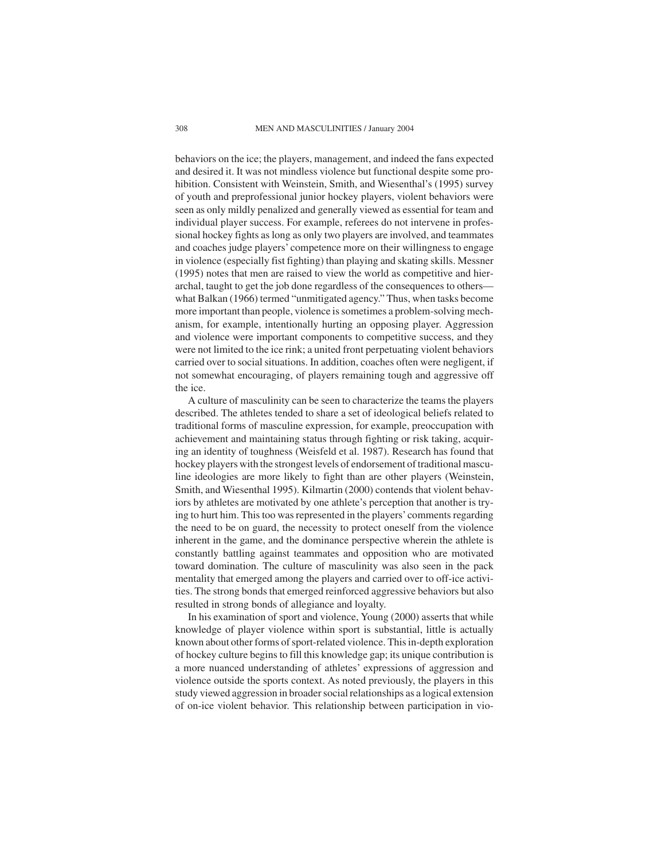behaviors on the ice; the players, management, and indeed the fans expected and desired it. It was not mindless violence but functional despite some prohibition. Consistent with Weinstein, Smith, and Wiesenthal's (1995) survey of youth and preprofessional junior hockey players, violent behaviors were seen as only mildly penalized and generally viewed as essential for team and individual player success. For example, referees do not intervene in professional hockey fights as long as only two players are involved, and teammates and coaches judge players' competence more on their willingness to engage in violence (especially fist fighting) than playing and skating skills. Messner (1995) notes that men are raised to view the world as competitive and hierarchal, taught to get the job done regardless of the consequences to others what Balkan (1966) termed "unmitigated agency." Thus, when tasks become more important than people, violence is sometimes a problem-solving mechanism, for example, intentionally hurting an opposing player. Aggression and violence were important components to competitive success, and they were not limited to the ice rink; a united front perpetuating violent behaviors carried over to social situations. In addition, coaches often were negligent, if not somewhat encouraging, of players remaining tough and aggressive off the ice.

A culture of masculinity can be seen to characterize the teams the players described. The athletes tended to share a set of ideological beliefs related to traditional forms of masculine expression, for example, preoccupation with achievement and maintaining status through fighting or risk taking, acquiring an identity of toughness (Weisfeld et al. 1987). Research has found that hockey players with the strongest levels of endorsement of traditional masculine ideologies are more likely to fight than are other players (Weinstein, Smith, and Wiesenthal 1995). Kilmartin (2000) contends that violent behaviors by athletes are motivated by one athlete's perception that another is trying to hurt him. This too was represented in the players'comments regarding the need to be on guard, the necessity to protect oneself from the violence inherent in the game, and the dominance perspective wherein the athlete is constantly battling against teammates and opposition who are motivated toward domination. The culture of masculinity was also seen in the pack mentality that emerged among the players and carried over to off-ice activities. The strong bonds that emerged reinforced aggressive behaviors but also resulted in strong bonds of allegiance and loyalty.

In his examination of sport and violence, Young (2000) asserts that while knowledge of player violence within sport is substantial, little is actually known about other forms of sport-related violence. This in-depth exploration of hockey culture begins to fill this knowledge gap; its unique contribution is a more nuanced understanding of athletes' expressions of aggression and violence outside the sports context. As noted previously, the players in this study viewed aggression in broader social relationships as a logical extension of on-ice violent behavior. This relationship between participation in vio-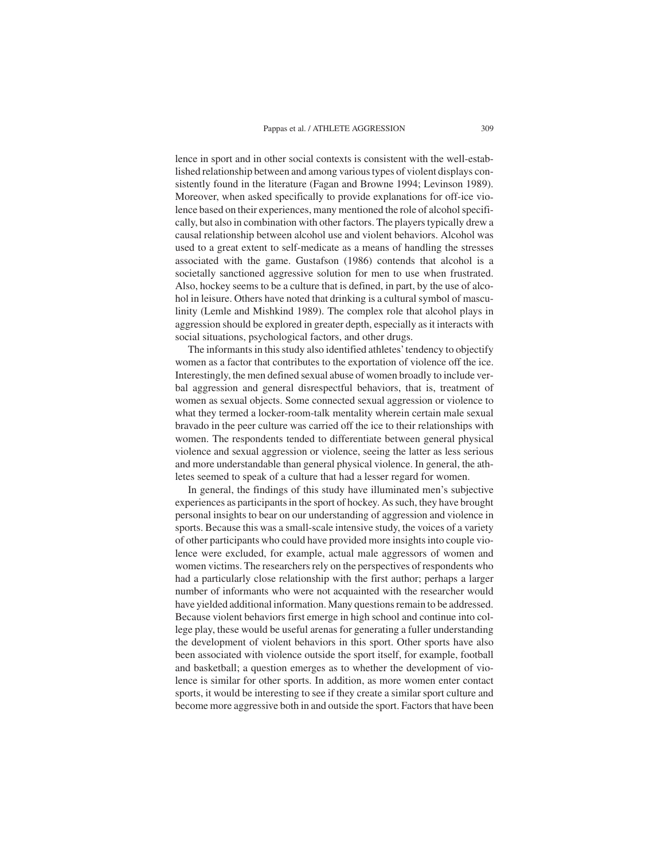lence in sport and in other social contexts is consistent with the well-established relationship between and among various types of violent displays consistently found in the literature (Fagan and Browne 1994; Levinson 1989). Moreover, when asked specifically to provide explanations for off-ice violence based on their experiences, many mentioned the role of alcohol specifically, but also in combination with other factors. The players typically drew a causal relationship between alcohol use and violent behaviors. Alcohol was used to a great extent to self-medicate as a means of handling the stresses associated with the game. Gustafson (1986) contends that alcohol is a societally sanctioned aggressive solution for men to use when frustrated. Also, hockey seems to be a culture that is defined, in part, by the use of alcohol in leisure. Others have noted that drinking is a cultural symbol of masculinity (Lemle and Mishkind 1989). The complex role that alcohol plays in aggression should be explored in greater depth, especially as it interacts with social situations, psychological factors, and other drugs.

The informants in this study also identified athletes'tendency to objectify women as a factor that contributes to the exportation of violence off the ice. Interestingly, the men defined sexual abuse of women broadly to include verbal aggression and general disrespectful behaviors, that is, treatment of women as sexual objects. Some connected sexual aggression or violence to what they termed a locker-room-talk mentality wherein certain male sexual bravado in the peer culture was carried off the ice to their relationships with women. The respondents tended to differentiate between general physical violence and sexual aggression or violence, seeing the latter as less serious and more understandable than general physical violence. In general, the athletes seemed to speak of a culture that had a lesser regard for women.

In general, the findings of this study have illuminated men's subjective experiences as participants in the sport of hockey. As such, they have brought personal insights to bear on our understanding of aggression and violence in sports. Because this was a small-scale intensive study, the voices of a variety of other participants who could have provided more insights into couple violence were excluded, for example, actual male aggressors of women and women victims. The researchers rely on the perspectives of respondents who had a particularly close relationship with the first author; perhaps a larger number of informants who were not acquainted with the researcher would have yielded additional information. Many questions remain to be addressed. Because violent behaviors first emerge in high school and continue into college play, these would be useful arenas for generating a fuller understanding the development of violent behaviors in this sport. Other sports have also been associated with violence outside the sport itself, for example, football and basketball; a question emerges as to whether the development of violence is similar for other sports. In addition, as more women enter contact sports, it would be interesting to see if they create a similar sport culture and become more aggressive both in and outside the sport. Factors that have been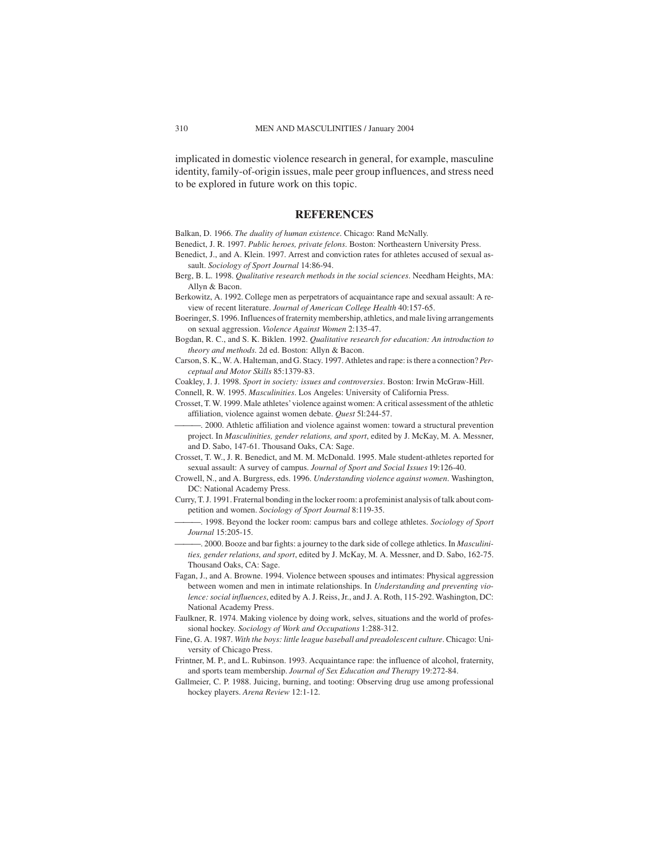implicated in domestic violence research in general, for example, masculine identity, family-of-origin issues, male peer group influences, and stress need to be explored in future work on this topic.

#### **REFERENCES**

- Balkan, D. 1966. *The duality of human existence*. Chicago: Rand McNally.
- Benedict, J. R. 1997. *Public heroes, private felons*. Boston: Northeastern University Press.
- Benedict, J., and A. Klein. 1997. Arrest and conviction rates for athletes accused of sexual assault. *Sociology of Sport Journal* 14:86-94.
- Berg, B. L. 1998. *Qualitative research methods in the social sciences*. Needham Heights, MA: Allyn & Bacon.
- Berkowitz, A. 1992. College men as perpetrators of acquaintance rape and sexual assault: A review of recent literature. *Journal of American College Health* 40:157-65.
- Boeringer, S. 1996. Influences of fraternity membership, athletics, andmale living arrangements on sexual aggression. *Violence Against Women* 2:135-47.
- Bogdan, R. C., and S. K. Biklen. 1992. *Qualitative research for education: An introduction to theory and methods*. 2d ed. Boston: Allyn & Bacon.
- Carson, S. K., W. A. Halteman, and G. Stacy. 1997. Athletes and rape: is there a connection?*Perceptual and Motor Skills* 85:1379-83.
- Coakley, J. J. 1998. *Sport in society: issues and controversies*. Boston: Irwin McGraw-Hill. Connell, R. W. 1995. *Masculinities*. Los Angeles: University of California Press.
- Crosset, T. W. 1999. Male athletes'violence against women: A critical assessment of the athletic affiliation, violence against women debate. *Quest* 5l:244-57.
- . 2000. Athletic affiliation and violence against women: toward a structural prevention project. In *Masculinities, gender relations, and sport*, edited by J. McKay, M. A. Messner, and D. Sabo, 147-61. Thousand Oaks, CA: Sage.
- Crosset, T. W., J. R. Benedict, and M. M. McDonald. 1995. Male student-athletes reported for sexual assault: A survey of campus. *Journal of Sport and Social Issues* 19:126-40.
- Crowell, N., and A. Burgress, eds. 1996. *Understanding violence against women*. Washington, DC: National Academy Press.
- Curry, T. J. 1991. Fraternal bonding in the locker room: a profeminist analysis of talk about competition and women. *Sociology of Sport Journal* 8:119-35.
- . 1998. Beyond the locker room: campus bars and college athletes. *Sociology of Sport Journal* 15:205-15.
- . 2000. Booze and bar fights: a journey to the dark side of college athletics. In *Masculinities, gender relations, and sport*, edited by J. McKay, M. A. Messner, and D. Sabo, 162-75. Thousand Oaks, CA: Sage.
- Fagan, J., and A. Browne. 1994. Violence between spouses and intimates: Physical aggression between women and men in intimate relationships. In *Understanding and preventing violence: social influences*, edited by A. J. Reiss, Jr., and J. A. Roth, 115-292. Washington, DC: National Academy Press.
- Faulkner, R. 1974. Making violence by doing work, selves, situations and the world of professional hockey. *Sociology of Work and Occupations* 1:288-312.
- Fine, G. A. 1987. *With the boys: little league baseball and preadolescent culture*. Chicago: University of Chicago Press.
- Frintner, M. P., and L. Rubinson. 1993. Acquaintance rape: the influence of alcohol, fraternity, and sports team membership. *Journal of Sex Education and Therapy* 19:272-84.
- Gallmeier, C. P. 1988. Juicing, burning, and tooting: Observing drug use among professional hockey players. *Arena Review* 12:1-12.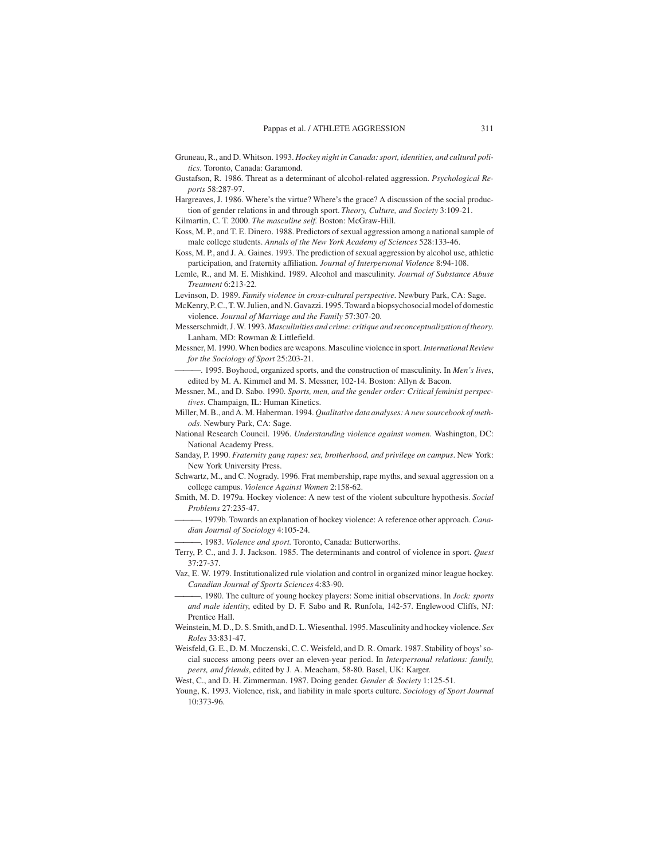- Gruneau, R., and D. Whitson. 1993. *Hockey night in Canada: sport, identities, and cultural politics*. Toronto, Canada: Garamond.
- Gustafson, R. 1986. Threat as a determinant of alcohol-related aggression. *Psychological Reports* 58:287-97.
- Hargreaves, J. 1986. Where's the virtue? Where's the grace? A discussion of the social production of gender relations in and through sport. *Theory, Culture, and Society* 3:109-21.

Kilmartin, C. T. 2000. *The masculine self*. Boston: McGraw-Hill.

- Koss, M. P., and T. E. Dinero. 1988. Predictors of sexual aggression among a national sample of male college students. *Annals of the New York Academy of Sciences* 528:133-46.
- Koss, M. P., and J. A. Gaines. 1993. The prediction of sexual aggression by alcohol use, athletic participation, and fraternity affiliation. *Journal of Interpersonal Violence* 8:94-108.
- Lemle, R., and M. E. Mishkind. 1989. Alcohol and masculinity. *Journal of Substance Abuse Treatment* 6:213-22.

Levinson, D. 1989. *Family violence in cross-cultural perspective*. Newbury Park, CA: Sage.

- McKenry, P. C., T. W. Julien, and N. Gavazzi. 1995. Toward a biopsychosocial model of domestic violence. *Journal of Marriage and the Family* 57:307-20.
- Messerschmidt, J. W. 1993. *Masculinities and crime: critique and reconceptualization of theory*. Lanham, MD: Rowman & Littlefield.
- Messner, M. 1990. When bodies are weapons. Masculine violence in sport.*International Review for the Sociology of Sport* 25:203-21.

. 1995. Boyhood, organized sports, and the construction of masculinity. In *Men's lives*, edited by M. A. Kimmel and M. S. Messner, 102-14. Boston: Allyn & Bacon.

- Messner, M., and D. Sabo. 1990. *Sports, men, and the gender order: Critical feminist perspectives*. Champaign, IL: Human Kinetics.
- Miller, M. B., and A. M. Haberman. 1994. *Qualitative data analyses: A new sourcebook of methods*. Newbury Park, CA: Sage.
- National Research Council. 1996. *Understanding violence against women*. Washington, DC: National Academy Press.
- Sanday, P. 1990. *Fraternity gang rapes: sex, brotherhood, and privilege on campus*. New York: New York University Press.
- Schwartz, M., and C. Nogrady. 1996. Frat membership, rape myths, and sexual aggression on a college campus. *Violence Against Women* 2:158-62.
- Smith, M. D. 1979a. Hockey violence: A new test of the violent subculture hypothesis. *Social Problems* 27:235-47.
- . 1979b. Towards an explanation of hockey violence: A reference other approach. *Canadian Journal of Sociology* 4:105-24.
- . 1983. *Violence and sport*. Toronto, Canada: Butterworths.
- Terry, P. C., and J. J. Jackson. 1985. The determinants and control of violence in sport. *Quest* 37:27-37.
- Vaz, E. W. 1979. Institutionalized rule violation and control in organized minor league hockey. *Canadian Journal of Sports Sciences* 4:83-90.
- . 1980. The culture of young hockey players: Some initial observations. In *Jock: sports and male identity*, edited by D. F. Sabo and R. Runfola, 142-57. Englewood Cliffs, NJ: Prentice Hall.
- Weinstein, M. D., D. S. Smith, and D. L. Wiesenthal. 1995. Masculinity and hockey violence. *Sex Roles* 33:831-47.
- Weisfeld, G. E., D. M. Muczenski, C. C. Weisfeld, and D. R. Omark. 1987. Stability of boys'social success among peers over an eleven-year period. In *Interpersonal relations: family, peers, and friends*, edited by J. A. Meacham, 58-80. Basel, UK: Karger.
- West, C., and D. H. Zimmerman. 1987. Doing gender. *Gender & Society* 1:125-51.
- Young, K. 1993. Violence, risk, and liability in male sports culture. *Sociology of Sport Journal* 10:373-96.